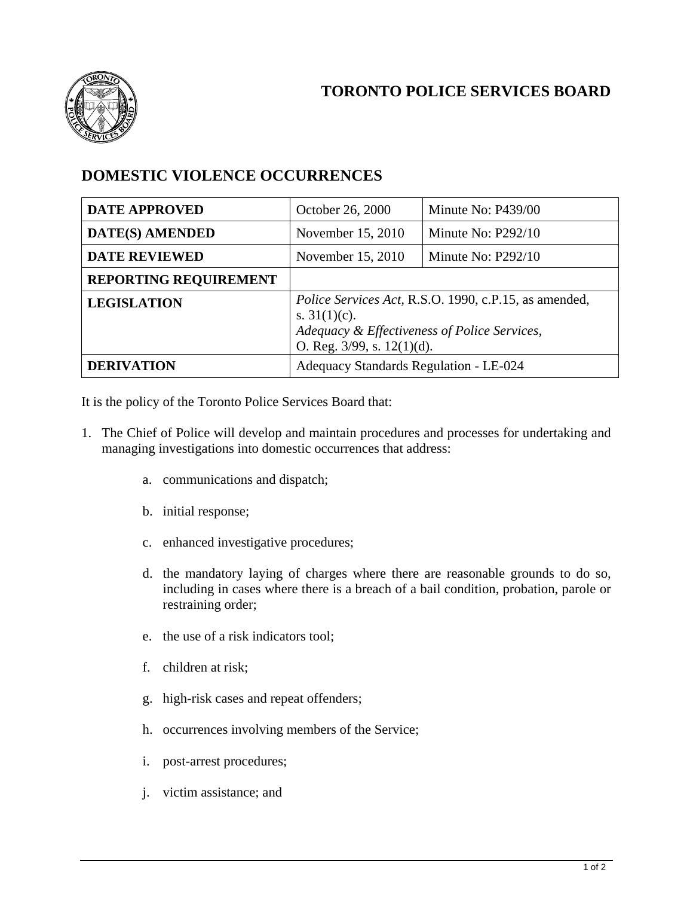



## **DOMESTIC VIOLENCE OCCURRENCES**

| <b>DATE APPROVED</b>         | October 26, 2000                                                                                                                                             | Minute No: P439/00   |
|------------------------------|--------------------------------------------------------------------------------------------------------------------------------------------------------------|----------------------|
| <b>DATE(S) AMENDED</b>       | November 15, 2010                                                                                                                                            | Minute No: $P292/10$ |
| <b>DATE REVIEWED</b>         | November 15, 2010                                                                                                                                            | Minute No: $P292/10$ |
| <b>REPORTING REQUIREMENT</b> |                                                                                                                                                              |                      |
| <b>LEGISLATION</b>           | Police Services Act, R.S.O. 1990, c.P.15, as amended,<br>s. $31(1)(c)$ .<br>Adequacy & Effectiveness of Police Services,<br>O. Reg. $3/99$ , s. $12(1)(d)$ . |                      |
| <b>DERIVATION</b>            | Adequacy Standards Regulation - LE-024                                                                                                                       |                      |

It is the policy of the Toronto Police Services Board that:

- 1. The Chief of Police will develop and maintain procedures and processes for undertaking and managing investigations into domestic occurrences that address:
	- a. communications and dispatch;
	- b. initial response;
	- c. enhanced investigative procedures;
	- d. the mandatory laying of charges where there are reasonable grounds to do so, including in cases where there is a breach of a bail condition, probation, parole or restraining order;
	- e. the use of a risk indicators tool;
	- f. children at risk;
	- g. high-risk cases and repeat offenders;
	- h. occurrences involving members of the Service;
	- i. post-arrest procedures;
	- j. victim assistance; and